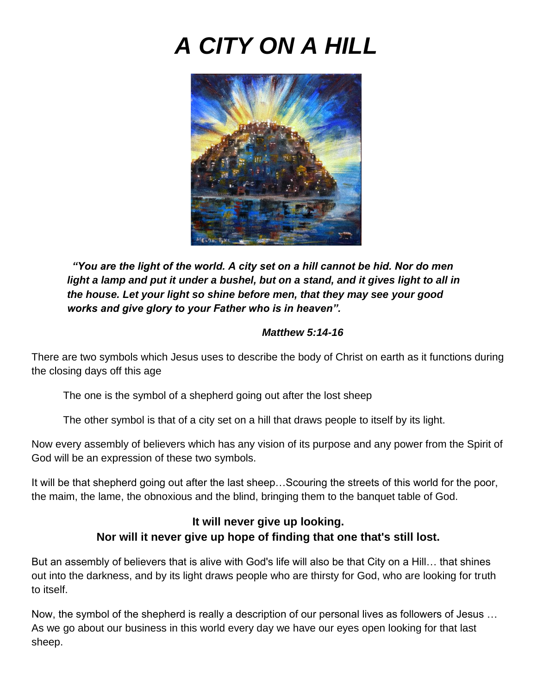# *A CITY ON A HILL*



*"You are the light of the world. A city set on a hill cannot be hid. Nor do men light a lamp and put it under a bushel, but on a stand, and it gives light to all in the house. Let your light so shine before men, that they may see your good works and give glory to your Father who is in heaven".*

#### *Matthew 5:14-16*

There are two symbols which Jesus uses to describe the body of Christ on earth as it functions during the closing days off this age

The one is the symbol of a shepherd going out after the lost sheep

The other symbol is that of a city set on a hill that draws people to itself by its light.

Now every assembly of believers which has any vision of its purpose and any power from the Spirit of God will be an expression of these two symbols.

It will be that shepherd going out after the last sheep…Scouring the streets of this world for the poor, the maim, the lame, the obnoxious and the blind, bringing them to the banquet table of God.

# **It will never give up looking. Nor will it never give up hope of finding that one that's still lost.**

But an assembly of believers that is alive with God's life will also be that City on a Hill… that shines out into the darkness, and by its light draws people who are thirsty for God, who are looking for truth to itself.

Now, the symbol of the shepherd is really a description of our personal lives as followers of Jesus … As we go about our business in this world every day we have our eyes open looking for that last sheep.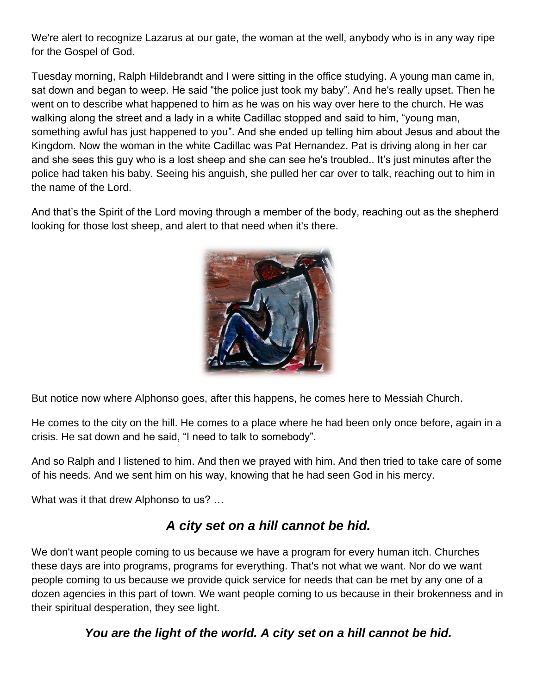We're alert to recognize Lazarus at our gate, the woman at the well, anybody who is in any way ripe for the Gospel of God.

Tuesday morning, Ralph Hildebrandt and I were sitting in the office studying. A young man came in, sat down and began to weep. He said "the police just took my baby". And he's really upset. Then he went on to describe what happened to him as he was on his way over here to the church. He was walking along the street and a lady in a white Cadillac stopped and said to him, "young man, something awful has just happened to you". And she ended up telling him about Jesus and about the Kingdom. Now the woman in the white Cadillac was Pat Hernandez. Pat is driving along in her car and she sees this guy who is a lost sheep and she can see he's troubled.. It's just minutes after the police had taken his baby. Seeing his anguish, she pulled her car over to talk, reaching out to him in the name of the Lord.

And that's the Spirit of the Lord moving through a member of the body, reaching out as the shepherd looking for those lost sheep, and alert to that need when it's there.



But notice now where Alphonso goes, after this happens, he comes here to Messiah Church.

He comes to the city on the hill. He comes to a place where he had been only once before, again in a crisis. He sat down and he said, "I need to talk to somebody".

And so Ralph and I listened to him. And then we prayed with him. And then tried to take care of some of his needs. And we sent him on his way, knowing that he had seen God in his mercy.

What was it that drew Alphonso to us? …

# *A city set on a hill cannot be hid.*

We don't want people coming to us because we have a program for every human itch. Churches these days are into programs, programs for everything. That's not what we want. Nor do we want people coming to us because we provide quick service for needs that can be met by any one of a dozen agencies in this part of town. We want people coming to us because in their brokenness and in their spiritual desperation, they see light.

*You are the light of the world. A city set on a hill cannot be hid.*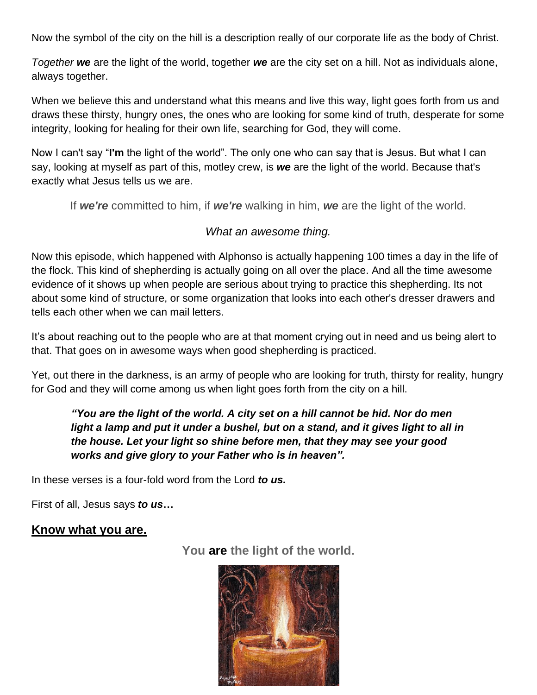Now the symbol of the city on the hill is a description really of our corporate life as the body of Christ.

*Together we* are the light of the world, together *we* are the city set on a hill. Not as individuals alone, always together.

When we believe this and understand what this means and live this way, light goes forth from us and draws these thirsty, hungry ones, the ones who are looking for some kind of truth, desperate for some integrity, looking for healing for their own life, searching for God, they will come.

Now I can't say "**I'm** the light of the world". The only one who can say that is Jesus. But what I can say, looking at myself as part of this, motley crew, is *we* are the light of the world. Because that's exactly what Jesus tells us we are.

If *we're* committed to him, if *we're* walking in him, *we* are the light of the world.

#### *What an awesome thing.*

Now this episode, which happened with Alphonso is actually happening 100 times a day in the life of the flock. This kind of shepherding is actually going on all over the place. And all the time awesome evidence of it shows up when people are serious about trying to practice this shepherding. Its not about some kind of structure, or some organization that looks into each other's dresser drawers and tells each other when we can mail letters.

It's about reaching out to the people who are at that moment crying out in need and us being alert to that. That goes on in awesome ways when good shepherding is practiced.

Yet, out there in the darkness, is an army of people who are looking for truth, thirsty for reality, hungry for God and they will come among us when light goes forth from the city on a hill.

# *"You are the light of the world. A city set on a hill cannot be hid. Nor do men*  light a lamp and put it under a bushel, but on a stand, and it gives light to all in *the house. Let your light so shine before men, that they may see your good works and give glory to your Father who is in heaven".*

In these verses is a four-fold word from the Lord *to us.*

First of all, Jesus says *to us***…**

# **Know what you are.**

**You are the light of the world.**

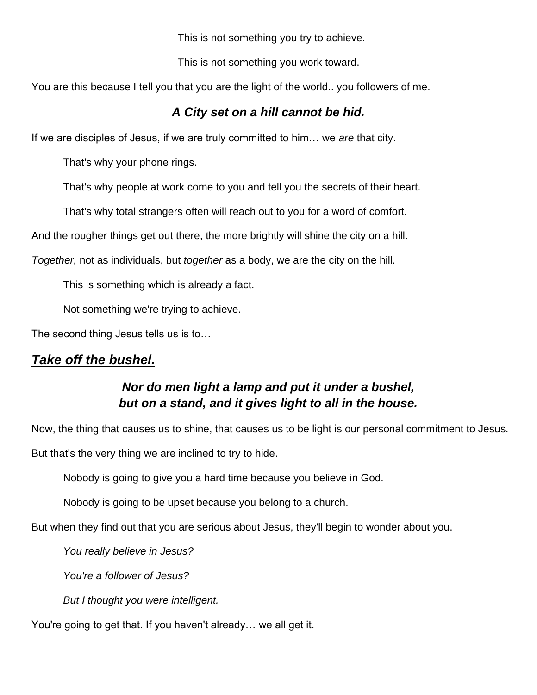This is not something you try to achieve.

This is not something you work toward.

You are this because I tell you that you are the light of the world.. you followers of me.

# *A City set on a hill cannot be hid.*

If we are disciples of Jesus, if we are truly committed to him… we *are* that city.

That's why your phone rings.

That's why people at work come to you and tell you the secrets of their heart.

That's why total strangers often will reach out to you for a word of comfort.

And the rougher things get out there, the more brightly will shine the city on a hill.

*Together,* not as individuals, but *together* as a body, we are the city on the hill.

This is something which is already a fact.

Not something we're trying to achieve.

The second thing Jesus tells us is to…

# *Take off the bushel.*

# *Nor do men light a lamp and put it under a bushel, but on a stand, and it gives light to all in the house.*

Now, the thing that causes us to shine, that causes us to be light is our personal commitment to Jesus. But that's the very thing we are inclined to try to hide.

Nobody is going to give you a hard time because you believe in God.

Nobody is going to be upset because you belong to a church.

But when they find out that you are serious about Jesus, they'll begin to wonder about you.

*You really believe in Jesus?*

*You're a follower of Jesus?*

*But I thought you were intelligent.*

You're going to get that. If you haven't already… we all get it.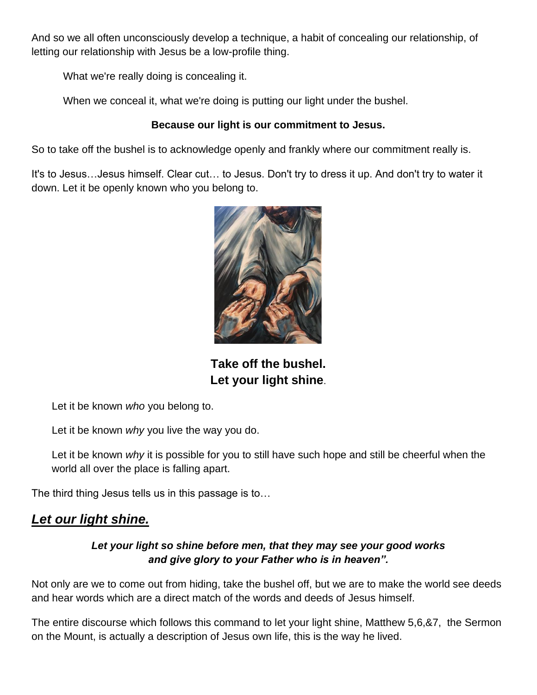And so we all often unconsciously develop a technique, a habit of concealing our relationship, of letting our relationship with Jesus be a low-profile thing.

What we're really doing is concealing it.

When we conceal it, what we're doing is putting our light under the bushel.

#### **Because our light is our commitment to Jesus.**

So to take off the bushel is to acknowledge openly and frankly where our commitment really is.

It's to Jesus…Jesus himself. Clear cut… to Jesus. Don't try to dress it up. And don't try to water it down. Let it be openly known who you belong to.



**Take off the bushel. Let your light shine**.

Let it be known *who* you belong to.

Let it be known *why* you live the way you do.

Let it be known *why* it is possible for you to still have such hope and still be cheerful when the world all over the place is falling apart.

The third thing Jesus tells us in this passage is to…

# *Let our light shine.*

# *Let your light so shine before men, that they may see your good works and give glory to your Father who is in heaven".*

Not only are we to come out from hiding, take the bushel off, but we are to make the world see deeds and hear words which are a direct match of the words and deeds of Jesus himself.

The entire discourse which follows this command to let your light shine, Matthew 5,6,&7, the Sermon on the Mount, is actually a description of Jesus own life, this is the way he lived.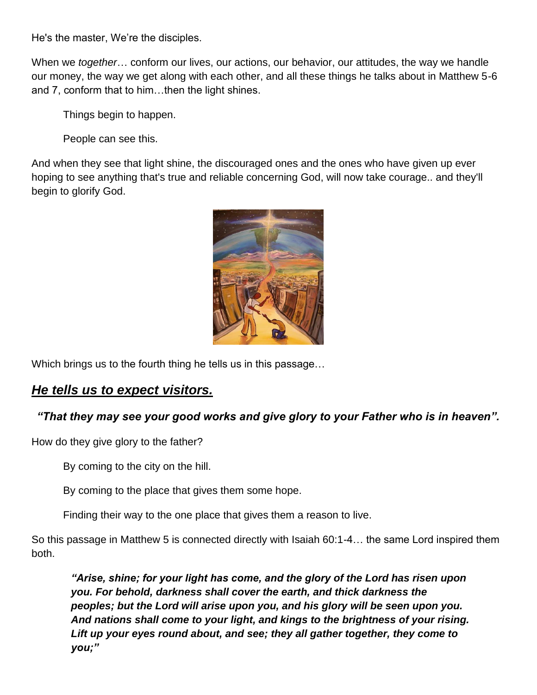He's the master, We're the disciples.

When we *together*… conform our lives, our actions, our behavior, our attitudes, the way we handle our money, the way we get along with each other, and all these things he talks about in Matthew 5-6 and 7, conform that to him…then the light shines.

Things begin to happen.

People can see this.

And when they see that light shine, the discouraged ones and the ones who have given up ever hoping to see anything that's true and reliable concerning God, will now take courage.. and they'll begin to glorify God.



Which brings us to the fourth thing he tells us in this passage…

# *He tells us to expect visitors.*

# *"That they may see your good works and give glory to your Father who is in heaven".*

How do they give glory to the father?

By coming to the city on the hill.

By coming to the place that gives them some hope.

Finding their way to the one place that gives them a reason to live.

So this passage in Matthew 5 is connected directly with Isaiah 60:1-4… the same Lord inspired them both.

*"Arise, shine; for your light has come, and the glory of the Lord has risen upon you. For behold, darkness shall cover the earth, and thick darkness the peoples; but the Lord will arise upon you, and his glory will be seen upon you. And nations shall come to your light, and kings to the brightness of your rising. Lift up your eyes round about, and see; they all gather together, they come to you;"*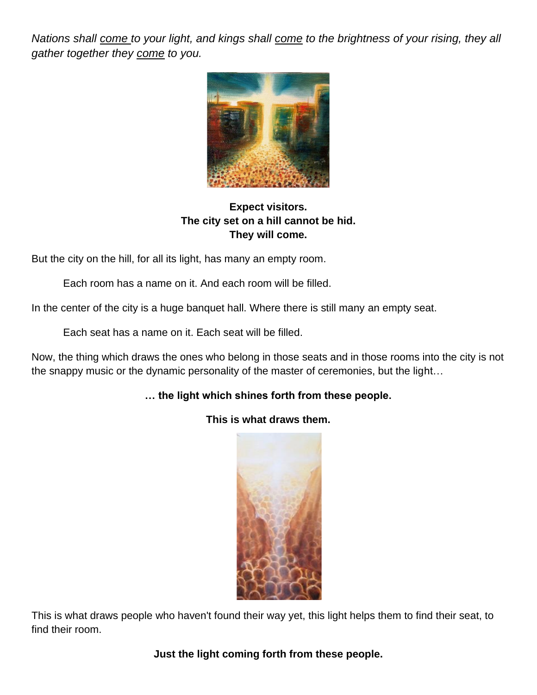*Nations shall come to your light, and kings shall come to the brightness of your rising, they all gather together they come to you.*



# **Expect visitors. The city set on a hill cannot be hid. They will come.**

But the city on the hill, for all its light, has many an empty room.

Each room has a name on it. And each room will be filled.

In the center of the city is a huge banquet hall. Where there is still many an empty seat.

Each seat has a name on it. Each seat will be filled.

Now, the thing which draws the ones who belong in those seats and in those rooms into the city is not the snappy music or the dynamic personality of the master of ceremonies, but the light…

#### **… the light which shines forth from these people.**

**This is what draws them.**

This is what draws people who haven't found their way yet, this light helps them to find their seat, to find their room.

**Just the light coming forth from these people.**